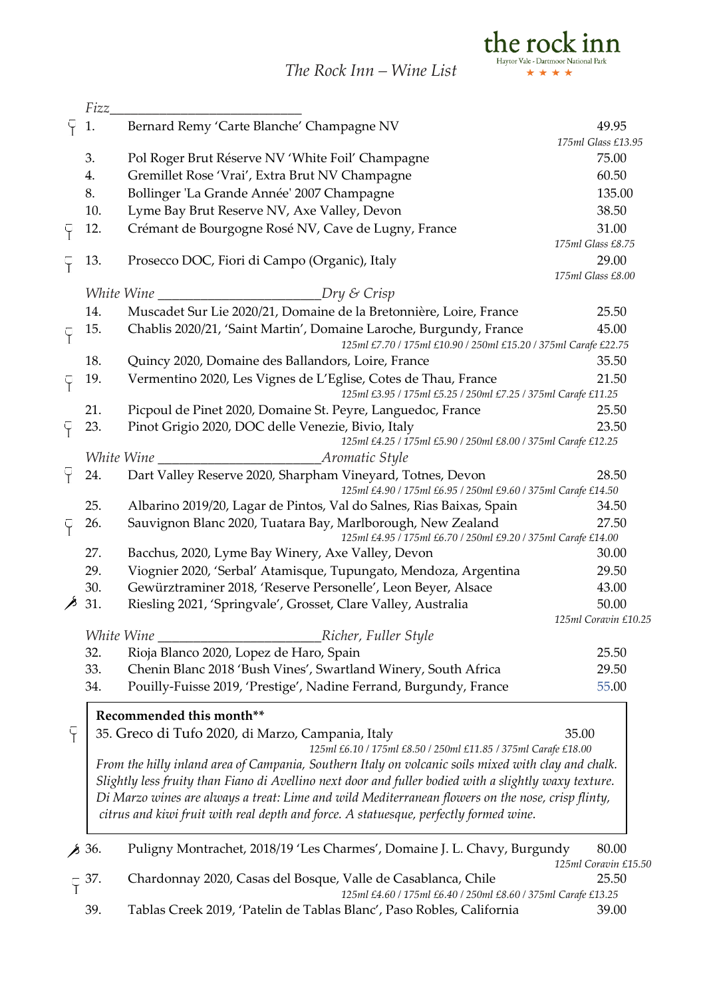*The Rock Inn – Wine List*



|                      | Fizz               |                                                                                                                              |                      |  |
|----------------------|--------------------|------------------------------------------------------------------------------------------------------------------------------|----------------------|--|
|                      | 1.                 | Bernard Remy 'Carte Blanche' Champagne NV                                                                                    | 49.95                |  |
|                      |                    |                                                                                                                              | 175ml Glass £13.95   |  |
|                      | 3.                 | Pol Roger Brut Réserve NV 'White Foil' Champagne                                                                             | 75.00                |  |
|                      | 4.                 | Gremillet Rose 'Vrai', Extra Brut NV Champagne                                                                               | 60.50                |  |
|                      | 8.                 | Bollinger 'La Grande Année' 2007 Champagne                                                                                   | 135.00               |  |
|                      | 10.                | Lyme Bay Brut Reserve NV, Axe Valley, Devon                                                                                  | 38.50                |  |
| Ÿ                    | 12.                | Crémant de Bourgogne Rosé NV, Cave de Lugny, France                                                                          | 31.00                |  |
|                      |                    |                                                                                                                              | 175ml Glass £8.75    |  |
|                      | 13.                | Prosecco DOC, Fiori di Campo (Organic), Italy                                                                                | 29.00                |  |
|                      |                    |                                                                                                                              | 175ml Glass £8.00    |  |
|                      |                    | <i>White Wine</i><br><i>Dry &amp; Crisp</i>                                                                                  |                      |  |
|                      | 14.                | Muscadet Sur Lie 2020/21, Domaine de la Bretonnière, Loire, France                                                           | 25.50                |  |
| Ÿ                    | 15.                | Chablis 2020/21, 'Saint Martin', Domaine Laroche, Burgundy, France                                                           | 45.00                |  |
|                      |                    | 125ml £7.70 / 175ml £10.90 / 250ml £15.20 / 375ml Carafe £22.75                                                              |                      |  |
|                      | 18.                | Quincy 2020, Domaine des Ballandors, Loire, France                                                                           | 35.50                |  |
| Ÿ                    | 19.                | Vermentino 2020, Les Vignes de L'Eglise, Cotes de Thau, France                                                               | 21.50                |  |
|                      |                    | 125ml £3.95 / 175ml £5.25 / 250ml £7.25 / 375ml Carafe £11.25                                                                |                      |  |
|                      | 21.                | Picpoul de Pinet 2020, Domaine St. Peyre, Languedoc, France                                                                  | 25.50                |  |
|                      | 23.                | Pinot Grigio 2020, DOC delle Venezie, Bivio, Italy                                                                           | 23.50                |  |
|                      |                    | 125ml £4.25 / 175ml £5.90 / 250ml £8.00 / 375ml Carafe £12.25                                                                |                      |  |
|                      | White Wine         | Aromatic Style                                                                                                               |                      |  |
| Ÿ                    | 24.                | Dart Valley Reserve 2020, Sharpham Vineyard, Totnes, Devon<br>125ml £4.90 / 175ml £6.95 / 250ml £9.60 / 375ml Carafe £14.50  | 28.50                |  |
|                      | 25.                | Albarino 2019/20, Lagar de Pintos, Val do Salnes, Rias Baixas, Spain                                                         | 34.50                |  |
| Ÿ                    | 26.                | Sauvignon Blanc 2020, Tuatara Bay, Marlborough, New Zealand<br>125ml £4.95 / 175ml £6.70 / 250ml £9.20 / 375ml Carafe £14.00 | 27.50                |  |
|                      | 27.                | Bacchus, 2020, Lyme Bay Winery, Axe Valley, Devon                                                                            | 30.00                |  |
|                      | 29.                | Viognier 2020, 'Serbal' Atamisque, Tupungato, Mendoza, Argentina                                                             | 29.50                |  |
|                      | 30.                | Gewürztraminer 2018, 'Reserve Personelle', Leon Beyer, Alsace                                                                | 43.00                |  |
| ∕                    | 31.                | Riesling 2021, 'Springvale', Grosset, Clare Valley, Australia                                                                | 50.00                |  |
|                      |                    |                                                                                                                              | 125ml Coravin £10.25 |  |
|                      | White Wine         | Richer, Fuller Style                                                                                                         |                      |  |
|                      | 32.                | Rioja Blanco 2020, Lopez de Haro, Spain                                                                                      | 25.50                |  |
|                      | 33.                | Chenin Blanc 2018 'Bush Vines', Swartland Winery, South Africa                                                               | 29.50                |  |
|                      | 34.                | Pouilly-Fuisse 2019, 'Prestige', Nadine Ferrand, Burgundy, France                                                            | 55.00                |  |
|                      |                    | Recommended this month**                                                                                                     |                      |  |
| Ÿ                    |                    | 35. Greco di Tufo 2020, di Marzo, Campania, Italy                                                                            | 35.00                |  |
|                      |                    | 125ml £6.10 / 175ml £8.50 / 250ml £11.85 / 375ml Carafe £18.00                                                               |                      |  |
|                      |                    | From the hilly inland area of Campania, Southern Italy on volcanic soils mixed with clay and chalk.                          |                      |  |
|                      |                    | Slightly less fruity than Fiano di Avellino next door and fuller bodied with a slightly waxy texture.                        |                      |  |
|                      |                    | Di Marzo wines are always a treat: Lime and wild Mediterranean flowers on the nose, crisp flinty,                            |                      |  |
|                      |                    | citrus and kiwi fruit with real depth and force. A statuesque, perfectly formed wine.                                        |                      |  |
|                      |                    |                                                                                                                              |                      |  |
|                      | $\cancel{8}$ 36.   | Puligny Montrachet, 2018/19 'Les Charmes', Domaine J. L. Chavy, Burgundy                                                     | 80.00                |  |
| 125ml Coravin £15.50 |                    |                                                                                                                              |                      |  |
|                      | $\overline{V}$ 37. | Chardonnay 2020, Casas del Bosque, Valle de Casablanca, Chile                                                                | 25.50                |  |
|                      |                    | 125ml £4.60 / 175ml £6.40 / 250ml £8.60 / 375ml Carafe £13.25                                                                |                      |  |

39. Tablas Creek 2019, 'Patelin de Tablas Blanc', Paso Robles, California 39.00